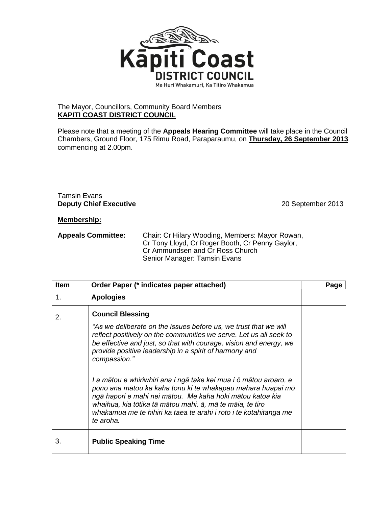

## The Mayor, Councillors, Community Board Members **KAPITI COAST DISTRICT COUNCIL**

Please note that a meeting of the **Appeals Hearing Committee** will take place in the Council Chambers, Ground Floor, 175 Rimu Road, Paraparaumu, on **Thursday, 26 September 2013** commencing at 2.00pm.

## Tamsin Evans **Deputy Chief Executive** 2013

## **Membership:**

**Appeals Committee:** Chair: Cr Hilary Wooding, Members: Mayor Rowan, Cr Tony Lloyd, Cr Roger Booth, Cr Penny Gaylor, Cr Ammundsen and Cr Ross Church Senior Manager: Tamsin Evans

| <b>Item</b> | Order Paper (* indicates paper attached)                                                                                                                                                                                                                                                                                                                                                                                                                                                                                                                                                                                                                          | Page |
|-------------|-------------------------------------------------------------------------------------------------------------------------------------------------------------------------------------------------------------------------------------------------------------------------------------------------------------------------------------------------------------------------------------------------------------------------------------------------------------------------------------------------------------------------------------------------------------------------------------------------------------------------------------------------------------------|------|
| 1.          | <b>Apologies</b>                                                                                                                                                                                                                                                                                                                                                                                                                                                                                                                                                                                                                                                  |      |
| 2.          | <b>Council Blessing</b><br>"As we deliberate on the issues before us, we trust that we will<br>reflect positively on the communities we serve. Let us all seek to<br>be effective and just, so that with courage, vision and energy, we<br>provide positive leadership in a spirit of harmony and<br>compassion."<br>I a mātou e whiriwhiri ana i ngā take kei mua i ō mātou aroaro, e<br>pono ana mātou ka kaha tonu ki te whakapau mahara huapai mō<br>ngā hapori e mahi nei mātou. Me kaha hoki mātou katoa kia<br>whaihua, kia tōtika tā mātou mahi, ā, mā te māia, te tiro<br>whakamua me te hihiri ka taea te arahi i roto i te kotahitanga me<br>te aroha. |      |
| 3.          | <b>Public Speaking Time</b>                                                                                                                                                                                                                                                                                                                                                                                                                                                                                                                                                                                                                                       |      |